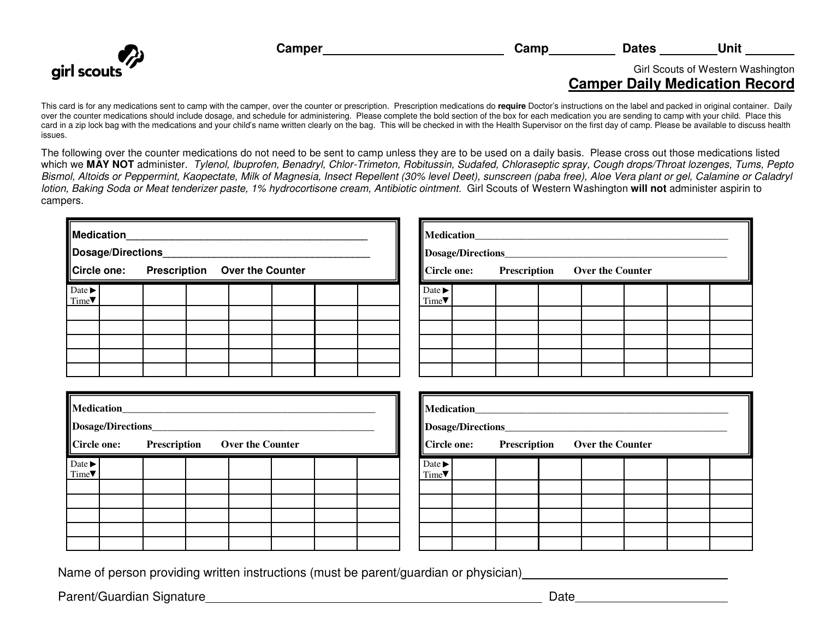

**Camper** Camp Camp Dates Unit

**Medication** 

**Dosage/Directions** 

**Circle one: Prescription Over the Counter** 

## Girl Scouts of Western Washington **Camper Daily Medication Record**

This card is for any medications sent to camp with the camper, over the counter or prescription. Prescription medications do **require** Doctor's instructions on the label and packed in original container. Daily over the counter medications should include dosage, and schedule for administering. Please complete the bold section of the box for each medication you are sending to camp with your child. Place this card in a zip lock bag with the medications and your child's name written clearly on the bag. This will be checked in with the Health Supervisor on the first day of camp. Please be available to discuss health issues.

The following over the counter medications do not need to be sent to camp unless they are to be used on a daily basis. Please cross out those medications listed which we MAY NOT administer. Tylenol, Ibuprofen, Benadryl, Chlor-Trimeton, Robitussin, Sudafed, Chloraseptic spray, Cough drops/Throat lozenges, Tums, Pepto Bismol, Altoids or Peppermint, Kaopectate, Milk of Magnesia, Insect Repellent (30% level Deet), sunscreen (paba free), Aloe Vera plant or gel, Calamine or Caladryl lotion, Baking Soda or Meat tenderizer paste, 1% hydrocortisone cream, Antibiotic ointment. Girl Scouts of Western Washington **will not** administer aspirin to campers.

> Date ► Time<sup>•</sup>

| Medication<br>Dosage/Directions_          |  |  |  |  |  |  |  |  |  |
|-------------------------------------------|--|--|--|--|--|--|--|--|--|
| Circle one: Prescription Over the Counter |  |  |  |  |  |  |  |  |  |
| Date $\blacktriangleright$<br>Time        |  |  |  |  |  |  |  |  |  |
|                                           |  |  |  |  |  |  |  |  |  |
|                                           |  |  |  |  |  |  |  |  |  |
|                                           |  |  |  |  |  |  |  |  |  |

| Medication_________<br>Dosage/Directions_______<br>Circle one: Prescription Over the Counter |  |  |  |  |
|----------------------------------------------------------------------------------------------|--|--|--|--|
| Date $\blacktriangleright$<br>Time                                                           |  |  |  |  |
|                                                                                              |  |  |  |  |
|                                                                                              |  |  |  |  |

|                                    | Medication______<br>Dosage/Directions______ |  |                                           |  |  |
|------------------------------------|---------------------------------------------|--|-------------------------------------------|--|--|
|                                    |                                             |  | Circle one: Prescription Over the Counter |  |  |
| Date $\blacktriangleright$<br>Time |                                             |  |                                           |  |  |
|                                    |                                             |  |                                           |  |  |
|                                    |                                             |  |                                           |  |  |
|                                    |                                             |  |                                           |  |  |

Name of person providing written instructions (must be parent/guardian or physician)

Parent/Guardian Signature **Date** Date Date Date Date Date